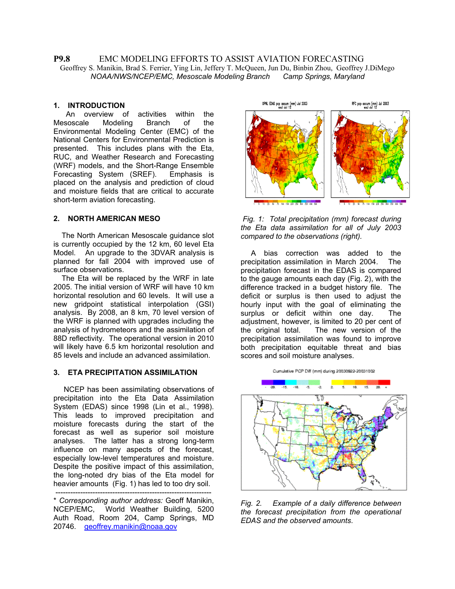### **P9.8** EMC MODELING EFFORTS TO ASSIST AVIATION FORECASTING Geoffrey S. Manikin, Brad S. Ferrier, Ying Lin, Jeffery T. McQueen, Jun Du, Binbin Zhou, Geoffrey J.DiMego  *NOAA/NWS/NCEP/EMC, Mesoscale Modeling Branch Camp Springs, Maryland*

### **1. INTRODUCTION**

 An overview of activities within the Mesoscale Modeling Branch of the Environmental Modeling Center (EMC) of the National Centers for Environmental Prediction is presented. This includes plans with the Eta, RUC, and Weather Research and Forecasting (WRF) models, and the Short-Range Ensemble Forecasting System (SREF). Emphasis is placed on the analysis and prediction of cloud and moisture fields that are critical to accurate short-term aviation forecasting.

The North American Mesoscale guidance slot *compared to the observations (right).*  is currently occupied by the 12 km, 60 level Eta Model. An upgrade to the 3DVAR analysis is planned for fall 2004 with improved use of surface observations.

The Eta will be replaced by the WRF in late 2005. The initial version of WRF will have 10 km horizontal resolution and 60 levels. It will use a new gridpoint statistical interpolation (GSI) analysis. By 2008, an 8 km, 70 level version of the WRF is planned with upgrades including the analysis of hydrometeors and the assimilation of 88D reflectivity. The operational version in 2010 will likely have 6.5 km horizontal resolution and 85 levels and include an advanced assimilation.

## **3. ETA PRECIPITATION ASSIMILATION**

NCEP has been assimilating observations of precipitation into the Eta Data Assimilation System (EDAS) since 1998 (Lin et al., 1998). This leads to improved precipitation and moisture forecasts during the start of the forecast as well as superior soil moisture analyses. The latter has a strong long-term influence on many aspects of the forecast, especially low-level temperatures and moisture. Despite the positive impact of this assimilation, the long-noted dry bias of the Eta model for heavier amounts (Fig. 1) has led to too dry soil.

---------------------------------------------------------------





 A bias correction was added to the precipitation assimilation in March 2004. The precipitation forecast in the EDAS is compared to the gauge amounts each day (Fig. 2), with the difference tracked in a budget history file. The deficit or surplus is then used to adjust the hourly input with the goal of eliminating the surplus or deficit within one day. The adjustment, however, is limited to 20 per cent of the original total. The new version of the precipitation assimilation was found to improve both precipitation equitable threat and bias scores and soil moisture analyses.





*Fig. 2. Example of a daily difference between the forecast precipitation from the operational EDAS and the observed amounts*.

<sup>\*</sup> *Corresponding author address:* Geoff Manikin, NCEP/EMC, World Weather Building, 5200 Auth Road, Room 204, Camp Springs, MD 20746. [geoffrey.manikin@noaa.gov](mailto:geoffrey.manikin@noaa.gov)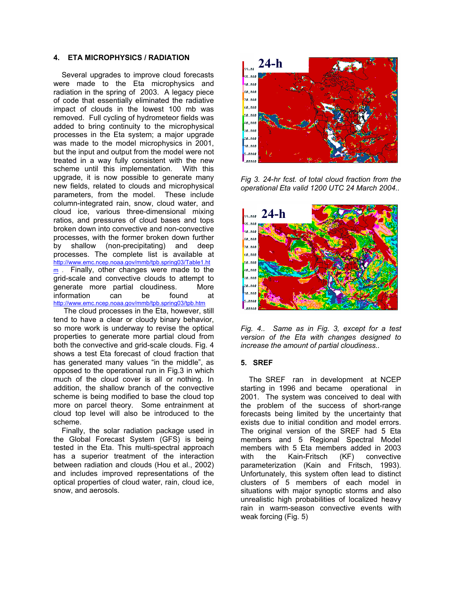# **4. ETA MICROPHYSICS / RADIATION 24-h**

Several upgrades to improve cloud forecasts were made to the Eta microphysics and radiation in the spring of 2003. A legacy piece of code that essentially eliminated the radiative impact of clouds in the lowest 100 mb was removed. Full cycling of hydrometeor fields was added to bring continuity to the microphysical processes in the Eta system; a major upgrade was made to the model microphysics in 2001, but the input and output from the model were not treated in a way fully consistent with the new scheme until this implementation. With this upgrade, it is now possible to generate many new fields, related to clouds and microphysical parameters, from the model. These include column-integrated rain, snow, cloud water, and cloud ice, various three-dimensional mixing ratios, and pressures of cloud bases and tops broken down into convective and non-convective processes, with the former broken down further by shallow (non-precipitating) and deep processes. The complete list is available at [http://www.emc.ncep.noaa.gov/mmb/tpb.spring03/Table1.ht](http://www.emc.ncep.noaa.gov/mmb/tpb.spring03/Table1.htm)  $\frac{m}{2}$  Finally, other changes were made to the grid-scale and convective clouds to attempt to generate more partial cloudiness. More information can be found at <http://www.emc.ncep.noaa.gov/mmb/tpb.spring03/tpb.htm>

The cloud processes in the Eta, however, still tend to have a clear or cloudy binary behavior, so more work is underway to revise the optical properties to generate more partial cloud from both the convective and grid-scale clouds. Fig. 4 shows a test Eta forecast of cloud fraction that has generated many values "in the middle", as opposed to the operational run in Fig.3 in which much of the cloud cover is all or nothing. In addition, the shallow branch of the convective scheme is being modified to base the cloud top more on parcel theory. Some entrainment at cloud top level will also be introduced to the scheme.

Finally, the solar radiation package used in the Global Forecast System (GFS) is being tested in the Eta. This multi-spectral approach has a superior treatment of the interaction between radiation and clouds (Hou et al., 2002) and includes improved representations of the optical properties of cloud water, rain, cloud ice, snow, and aerosols.



*Fig 3. 24-hr fcst. of total cloud fraction from the operational Eta valid 1200 UTC 24 March 2004..* 



*Fig. 4.. Same as in Fig. 3, except for a test version of the Eta with changes designed to increase the amount of partial cloudiness..*

## **5. SREF**

The SREF ran in development at NCEP starting in 1996 and became operational in 2001. The system was conceived to deal with the problem of the success of short-range forecasts being limited by the uncertainty that exists due to initial condition and model errors. The original version of the SREF had 5 Eta members and 5 Regional Spectral Model members with 5 Eta members added in 2003 with the Kain-Fritsch (KF) convective parameterization (Kain and Fritsch, 1993). Unfortunately, this system often lead to distinct clusters of 5 members of each model in situations with major synoptic storms and also unrealistic high probabilities of localized heavy rain in warm-season convective events with weak forcing (Fig. 5)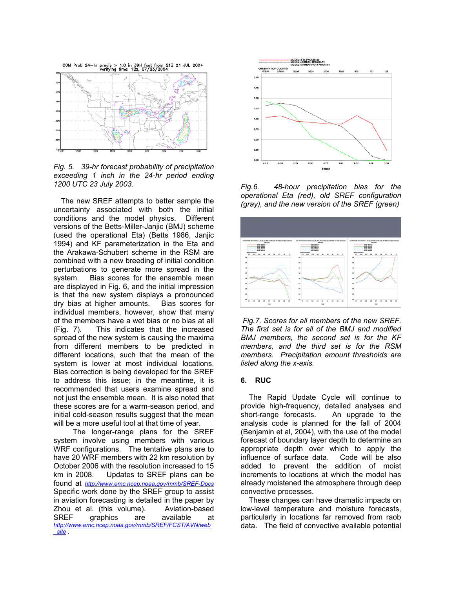

*Fig. 5. 39-hr forecast probability of precipitation exceeding 1 inch in the 24-hr period ending* 

uncertainty associated with both the initial conditions and the model physics. Different versions of the Betts-Miller-Janjic (BMJ) scheme (used the operational Eta) (Betts 1986, Janjic 1994) and KF parameterization in the Eta and the Arakawa-Schubert scheme in the RSM are combined with a new breeding of initial condition perturbations to generate more spread in the system. Bias scores for the ensemble mean are displayed in Fig. 6, and the initial impression is that the new system displays a pronounced dry bias at higher amounts. Bias scores for individual members, however, show that many of the members have a wet bias or no bias at all (Fig. 7). This indicates that the increased spread of the new system is causing the maxima from different members to be predicted in different locations, such that the mean of the system is lower at most individual locations. Bias correction is being developed for the SREF to address this issue; in the meantime, it is recommended that users examine spread and not just the ensemble mean. It is also noted that these scores are for a warm-season period, and initial cold-season results suggest that the mean will be a more useful tool at that time of year.

 The longer-range plans for the SREF system involve using members with various WRF configurations. The tentative plans are to have 20 WRF members with 22 km resolution by October 2006 with the resolution increased to 15 km in 2008. Updates to SREF plans can be found at *[http://www.emc.ncep.noaa.gov/mmb/SREF-Docs](http://www.emc.ncep.noaa.gov/mmb/SREF-docs)* Specific work done by the SREF group to assist in aviation forecasting is detailed in the paper by Zhou et al. (this volume). Aviation-based SREF graphics are available at *[http://www.emc.ncep.noaa.gov/mmb/SREF/FCST/AVN/web](http://www.emc.ncep.noaa.gov/mmb/SREF/FCST/AVN/web_site) [\\_site](http://www.emc.ncep.noaa.gov/mmb/SREF/FCST/AVN/web_site)* .



Fig.6. 48-hour precipitation bias for the *operational Eta (red), old SREF configuration* The new SREF attempts to better sample the *generalisms*, and the new version of the SREF (green)



*Fig.7. Scores for all members of the new SREF. The first set is for all of the BMJ and modified BMJ members, the second set is for the KF members, and the third set is for the RSM members. Precipitation amount thresholds are listed along the x-axis.* 

## **6. RUC**

 The Rapid Update Cycle will continue to provide high-frequency, detailed analyses and short-range forecasts. An upgrade to the analysis code is planned for the fall of 2004 (Benjamin et al, 2004), with the use of the model forecast of boundary layer depth to determine an appropriate depth over which to apply the influence of surface data. Code will be also added to prevent the addition of moist increments to locations at which the model has already moistened the atmosphere through deep convective processes.

 These changes can have dramatic impacts on low-level temperature and moisture forecasts, particularly in locations far removed from raob data. The field of convective available potential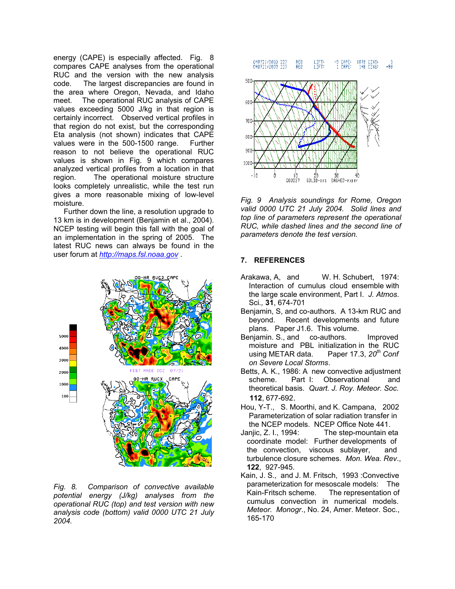energy (CAPE) is especially affected. Fig. 8 compares CAPE analyses from the operational RUC and the version with the new analysis code. The largest discrepancies are found in the area where Oregon, Nevada, and Idaho meet. The operational RUC analysis of CAPE values exceeding 5000 J/kg in that region is certainly incorrect. Observed vertical profiles in that region do not exist, but the corresponding Eta analysis (not shown) indicates that CAPE values were in the 500-1500 range. Further reason to not believe the operational RUC values is shown in Fig. 9 which compares analyzed vertical profiles from a location in that region. The operational moisture structure looks completely unrealistic, while the test run gives a more reasonable mixing of low-level moisture. *Fig. 9 Analysis soundings for Rome, Oregon* 

 Further down the line, a resolution upgrade to 13 km is in development (Benjamin et al., 2004). NCEP testing will begin this fall with the goal of an implementation in the spring of 2005. The latest RUC news can always be found in the user forum at *[http://maps.fsl.noaa.gov](http://maps.fsl.noaa.gov/)* . **7. REFERENCES** 



*potential energy (J/kg) analyses from the operational RUC (top) and test version with new analysis code (bottom) valid 0000 UTC 21 July 2004.* 



*valid 0000 UTC 21 July 2004. Solid lines and top line of parameters represent the operational RUC, while dashed lines and the second line of parameters denote the test version.* 

- Arakawa, A, and W. H. Schubert, 1974: Interaction of cumulus cloud ensemble with the large scale environment, Part I. *J. Atmos.*  Sci*.,* **31**, 674-701
- Benjamin, S, and co-authors. A 13-km RUC and beyond. Recent developments and future plans. Paper J1.6. This volume.
- Benjamin, S., and co-authors. Improved moisture and PBL initialization in the RUC using METAR data. Paper 17.3, *20th Conf on Severe Local Storms*.
- Betts, A. K., 1986: A new convective adjustment scheme. Part I: Observational and theoretical basis*. Quart. J. Roy. Meteor. Soc.*  **112**, 677-692.
- Hou, Y-T., S. Moorthi, and K. Campana, 2002 Parameterization of solar radiation transfer in the NCEP models. NCEP Office Note 441.
- Janjic, Z. I., 1994: The step-mountain eta coordinate model: Further developments of the convection, viscous sublayer, and turbulence closure schemes. *Mon. Wea. Rev*., **122**, 927-945.
- Kain, J. S., and J. M. Fritsch, 1993 :Convective parameterization for mesoscale models: The *Fig. 8. Comparison of convective available* The representation of cumulus convection in numerical models. *Meteor. Monogr*., No. 24, Amer. Meteor. Soc., 165-170